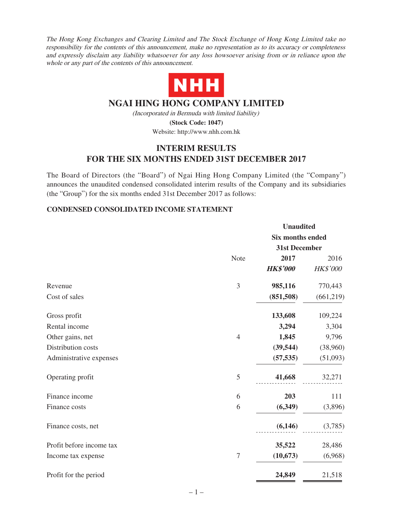The Hong Kong Exchanges and Clearing Limited and The Stock Exchange of Hong Kong Limited take no responsibility for the contents of this announcement, make no representation as to its accuracy or completeness and expressly disclaim any liability whatsoever for any loss howsoever arising from or in reliance upon the whole or any part of the contents of this announcement.



# **NGAI HING HONG COMPANY LIMITED**

(Incorporated in Bermuda with limited liability) **(Stock Code: 1047)**

Website: http://www.nhh.com.hk

# **INTERIM RESULTS FOR THE SIX MONTHS ENDED 31ST DECEMBER 2017**

The Board of Directors (the "Board") of Ngai Hing Hong Company Limited (the "Company") announces the unaudited condensed consolidated interim results of the Company and its subsidiaries (the "Group") for the six months ended 31st December 2017 as follows:

### **CONDENSED CONSOLIDATED INCOME STATEMENT**

|                          |                | <b>Unaudited</b>        |           |  |  |
|--------------------------|----------------|-------------------------|-----------|--|--|
|                          |                | <b>Six months ended</b> |           |  |  |
|                          |                | 31st December           |           |  |  |
|                          | Note           | 2017                    | 2016      |  |  |
|                          |                | <b>HK\$'000</b>         | HK\$'000  |  |  |
| Revenue                  | 3              | 985,116                 | 770,443   |  |  |
| Cost of sales            |                | (851,508)               | (661,219) |  |  |
| Gross profit             |                | 133,608                 | 109,224   |  |  |
| Rental income            |                | 3,294                   | 3,304     |  |  |
| Other gains, net         | $\overline{4}$ | 1,845                   | 9,796     |  |  |
| Distribution costs       |                | (39, 544)               | (38,960)  |  |  |
| Administrative expenses  |                | (57, 535)               | (51,093)  |  |  |
| Operating profit         | 5              | 41,668                  | 32,271    |  |  |
| Finance income           | 6              | 203                     | 111       |  |  |
| Finance costs            | 6              | (6, 349)                | (3,896)   |  |  |
| Finance costs, net       |                | (6,146)                 | (3,785)   |  |  |
| Profit before income tax |                | 35,522                  | 28,486    |  |  |
| Income tax expense       | $\tau$         | (10, 673)               | (6,968)   |  |  |
| Profit for the period    |                | 24,849                  | 21,518    |  |  |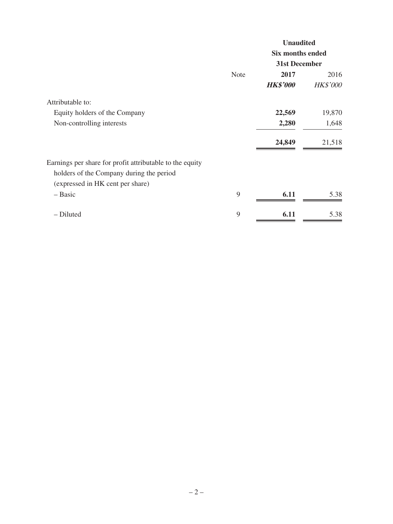|                                                          |             | <b>Unaudited</b>        |                 |  |
|----------------------------------------------------------|-------------|-------------------------|-----------------|--|
|                                                          |             | <b>Six months ended</b> |                 |  |
|                                                          |             | 31st December           |                 |  |
|                                                          | <b>Note</b> | 2017                    | 2016            |  |
|                                                          |             | <b>HK\$'000</b>         | <b>HK\$'000</b> |  |
| Attributable to:                                         |             |                         |                 |  |
| Equity holders of the Company                            |             | 22,569                  | 19,870          |  |
| Non-controlling interests                                |             | 2,280                   | 1,648           |  |
|                                                          |             | 24,849                  | 21,518          |  |
| Earnings per share for profit attributable to the equity |             |                         |                 |  |
| holders of the Company during the period                 |             |                         |                 |  |
| (expressed in HK cent per share)                         |             |                         |                 |  |
| - Basic                                                  | 9           | 6.11                    | 5.38            |  |
| - Diluted                                                | 9           | 6.11                    | 5.38            |  |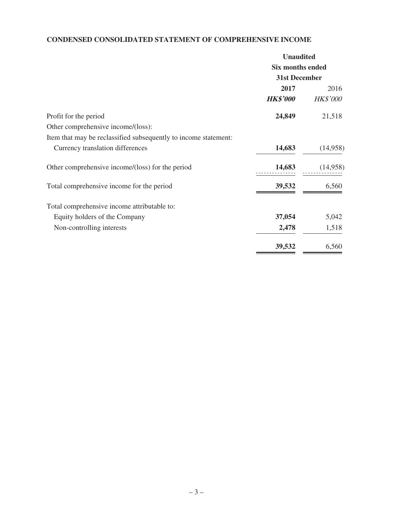# **CONDENSED CONSOLIDATED STATEMENT OF COMPREHENSIVE INCOME**

| <b>Unaudited</b>        |  |  |
|-------------------------|--|--|
| <b>Six months ended</b> |  |  |
| 31st December           |  |  |
| 2016                    |  |  |
| <b>HK\$'000</b>         |  |  |
| 21,518                  |  |  |
|                         |  |  |
|                         |  |  |
| (14,958)                |  |  |
| (14,958)                |  |  |
| 6,560                   |  |  |
|                         |  |  |
| 5,042                   |  |  |
| 1,518                   |  |  |
| 6,560                   |  |  |
|                         |  |  |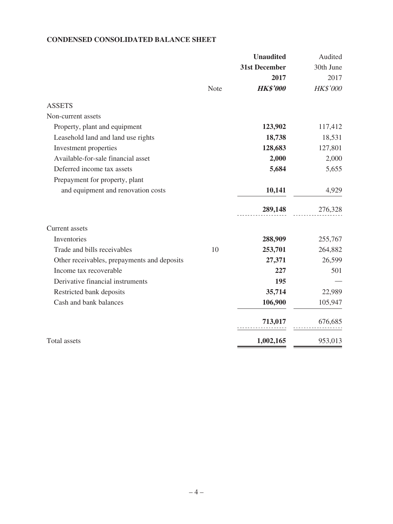### **CONDENSED CONSOLIDATED BALANCE SHEET**

|                                             | <b>Unaudited</b> | Audited   |
|---------------------------------------------|------------------|-----------|
|                                             | 31st December    | 30th June |
|                                             | 2017             | 2017      |
| Note                                        | <b>HK\$'000</b>  | HK\$'000  |
| <b>ASSETS</b>                               |                  |           |
| Non-current assets                          |                  |           |
| Property, plant and equipment               | 123,902          | 117,412   |
| Leasehold land and land use rights          | 18,738           | 18,531    |
| Investment properties                       | 128,683          | 127,801   |
| Available-for-sale financial asset          | 2,000            | 2,000     |
| Deferred income tax assets                  | 5,684            | 5,655     |
| Prepayment for property, plant              |                  |           |
| and equipment and renovation costs          | 10,141           | 4,929     |
|                                             | 289,148          | 276,328   |
| Current assets                              |                  |           |
| Inventories                                 | 288,909          | 255,767   |
| Trade and bills receivables<br>10           | 253,701          | 264,882   |
| Other receivables, prepayments and deposits | 27,371           | 26,599    |
| Income tax recoverable                      | 227              | 501       |
| Derivative financial instruments            | 195              |           |
| Restricted bank deposits                    | 35,714           | 22,989    |
| Cash and bank balances                      | 106,900          | 105,947   |
|                                             | 713,017          | 676,685   |
| <b>Total assets</b>                         | 1,002,165        | 953,013   |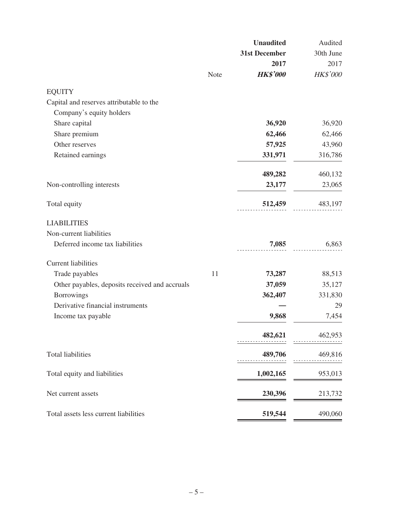|                                                |      | <b>Unaudited</b> | Audited   |
|------------------------------------------------|------|------------------|-----------|
|                                                |      | 31st December    | 30th June |
|                                                |      | 2017             | 2017      |
|                                                | Note | <b>HK\$'000</b>  | HK\$'000  |
| <b>EQUITY</b>                                  |      |                  |           |
| Capital and reserves attributable to the       |      |                  |           |
| Company's equity holders                       |      |                  |           |
| Share capital                                  |      | 36,920           | 36,920    |
| Share premium                                  |      | 62,466           | 62,466    |
| Other reserves                                 |      | 57,925           | 43,960    |
| Retained earnings                              |      | 331,971          | 316,786   |
|                                                |      | 489,282          | 460,132   |
| Non-controlling interests                      |      | 23,177           | 23,065    |
| Total equity                                   |      | 512,459          | 483,197   |
| <b>LIABILITIES</b>                             |      |                  |           |
| Non-current liabilities                        |      |                  |           |
| Deferred income tax liabilities                |      | 7,085            | 6,863     |
| <b>Current liabilities</b>                     |      |                  |           |
| Trade payables                                 | 11   | 73,287           | 88,513    |
| Other payables, deposits received and accruals |      | 37,059           | 35,127    |
| <b>Borrowings</b>                              |      | 362,407          | 331,830   |
| Derivative financial instruments               |      |                  | 29        |
| Income tax payable                             |      | 9,868            | 7,454     |
|                                                |      | 482,621          | 462,953   |
| <b>Total liabilities</b>                       |      | 489,706          | 469,816   |
|                                                |      |                  |           |
| Total equity and liabilities                   |      | 1,002,165        | 953,013   |
| Net current assets                             |      | 230,396          | 213,732   |
| Total assets less current liabilities          |      | 519,544          | 490,060   |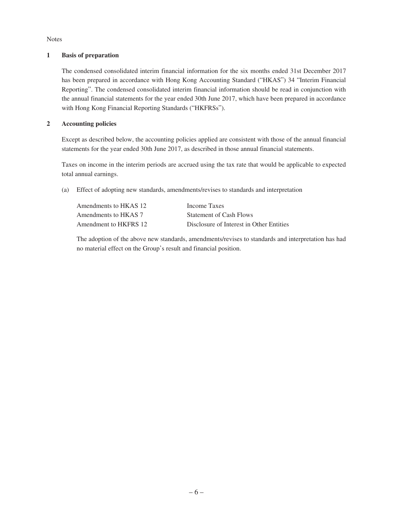Notes

#### **1 Basis of preparation**

The condensed consolidated interim financial information for the six months ended 31st December 2017 has been prepared in accordance with Hong Kong Accounting Standard ("HKAS") 34 "Interim Financial Reporting". The condensed consolidated interim financial information should be read in conjunction with the annual financial statements for the year ended 30th June 2017, which have been prepared in accordance with Hong Kong Financial Reporting Standards ("HKFRSs").

### **2 Accounting policies**

Except as described below, the accounting policies applied are consistent with those of the annual financial statements for the year ended 30th June 2017, as described in those annual financial statements.

Taxes on income in the interim periods are accrued using the tax rate that would be applicable to expected total annual earnings.

(a) Effect of adopting new standards, amendments/revises to standards and interpretation

| Amendments to HKAS 12 | Income Taxes                             |
|-----------------------|------------------------------------------|
| Amendments to HKAS 7  | Statement of Cash Flows                  |
| Amendment to HKFRS 12 | Disclosure of Interest in Other Entities |

The adoption of the above new standards, amendments/revises to standards and interpretation has had no material effect on the Group's result and financial position.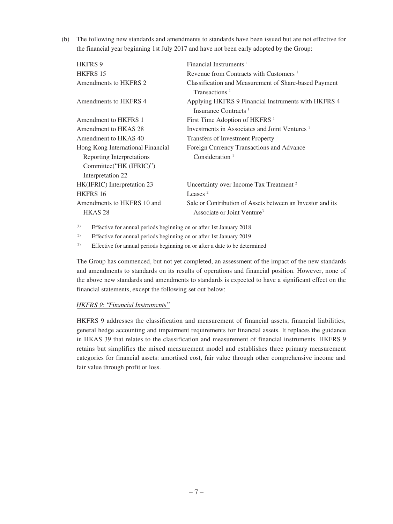(b) The following new standards and amendments to standards have been issued but are not effective for the financial year beginning 1st July 2017 and have not been early adopted by the Group:

| Financial Instruments <sup><math>1</math></sup>            |
|------------------------------------------------------------|
| Revenue from Contracts with Customers <sup>1</sup>         |
| Classification and Measurement of Share-based Payment      |
| Transactions <sup>1</sup>                                  |
| Applying HKFRS 9 Financial Instruments with HKFRS 4        |
| Insurance Contracts <sup>1</sup>                           |
| First Time Adoption of HKFRS <sup>1</sup>                  |
| Investments in Associates and Joint Ventures <sup>1</sup>  |
| Transfers of Investment Property <sup>1</sup>              |
| Foreign Currency Transactions and Advance                  |
| Consideration $1$                                          |
|                                                            |
|                                                            |
| Uncertainty over Income Tax Treatment <sup>2</sup>         |
| Leases $2$                                                 |
| Sale or Contribution of Assets between an Investor and its |
| Associate or Joint Venture <sup>3</sup>                    |
|                                                            |

(1) Effective for annual periods beginning on or after 1st January 2018

(2) Effective for annual periods beginning on or after 1st January 2019

(3) Effective for annual periods beginning on or after a date to be determined

The Group has commenced, but not yet completed, an assessment of the impact of the new standards and amendments to standards on its results of operations and financial position. However, none of the above new standards and amendments to standards is expected to have a significant effect on the financial statements, except the following set out below:

#### HKFRS 9: "Financial Instruments"

HKFRS 9 addresses the classification and measurement of financial assets, financial liabilities, general hedge accounting and impairment requirements for financial assets. It replaces the guidance in HKAS 39 that relates to the classification and measurement of financial instruments. HKFRS 9 retains but simplifies the mixed measurement model and establishes three primary measurement categories for financial assets: amortised cost, fair value through other comprehensive income and fair value through profit or loss.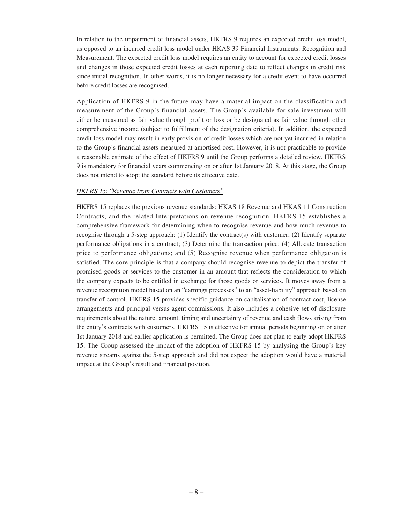In relation to the impairment of financial assets, HKFRS 9 requires an expected credit loss model, as opposed to an incurred credit loss model under HKAS 39 Financial Instruments: Recognition and Measurement. The expected credit loss model requires an entity to account for expected credit losses and changes in those expected credit losses at each reporting date to reflect changes in credit risk since initial recognition. In other words, it is no longer necessary for a credit event to have occurred before credit losses are recognised.

Application of HKFRS 9 in the future may have a material impact on the classification and measurement of the Group's financial assets. The Group's available-for-sale investment will either be measured as fair value through profit or loss or be designated as fair value through other comprehensive income (subject to fulfillment of the designation criteria). In addition, the expected credit loss model may result in early provision of credit losses which are not yet incurred in relation to the Group's financial assets measured at amortised cost. However, it is not practicable to provide a reasonable estimate of the effect of HKFRS 9 until the Group performs a detailed review. HKFRS 9 is mandatory for financial years commencing on or after 1st January 2018. At this stage, the Group does not intend to adopt the standard before its effective date.

#### HKFRS 15: "Revenue from Contracts with Customers"

HKFRS 15 replaces the previous revenue standards: HKAS 18 Revenue and HKAS 11 Construction Contracts, and the related Interpretations on revenue recognition. HKFRS 15 establishes a comprehensive framework for determining when to recognise revenue and how much revenue to recognise through a 5-step approach: (1) Identify the contract(s) with customer; (2) Identify separate performance obligations in a contract; (3) Determine the transaction price; (4) Allocate transaction price to performance obligations; and (5) Recognise revenue when performance obligation is satisfied. The core principle is that a company should recognise revenue to depict the transfer of promised goods or services to the customer in an amount that reflects the consideration to which the company expects to be entitled in exchange for those goods or services. It moves away from a revenue recognition model based on an "earnings processes" to an "asset-liability" approach based on transfer of control. HKFRS 15 provides specific guidance on capitalisation of contract cost, license arrangements and principal versus agent commissions. It also includes a cohesive set of disclosure requirements about the nature, amount, timing and uncertainty of revenue and cash flows arising from the entity's contracts with customers. HKFRS 15 is effective for annual periods beginning on or after 1st January 2018 and earlier application is permitted. The Group does not plan to early adopt HKFRS 15. The Group assessed the impact of the adoption of HKFRS 15 by analysing the Group's key revenue streams against the 5-step approach and did not expect the adoption would have a material impact at the Group's result and financial position.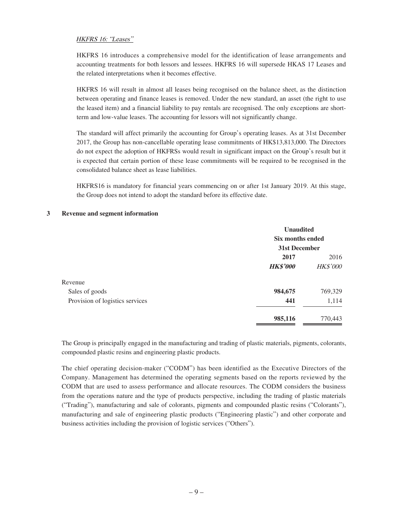### HKFRS 16: "Leases"

HKFRS 16 introduces a comprehensive model for the identification of lease arrangements and accounting treatments for both lessors and lessees. HKFRS 16 will supersede HKAS 17 Leases and the related interpretations when it becomes effective.

HKFRS 16 will result in almost all leases being recognised on the balance sheet, as the distinction between operating and finance leases is removed. Under the new standard, an asset (the right to use the leased item) and a financial liability to pay rentals are recognised. The only exceptions are shortterm and low-value leases. The accounting for lessors will not significantly change.

The standard will affect primarily the accounting for Group's operating leases. As at 31st December 2017, the Group has non-cancellable operating lease commitments of HK\$13,813,000. The Directors do not expect the adoption of HKFRSs would result in significant impact on the Group's result but it is expected that certain portion of these lease commitments will be required to be recognised in the consolidated balance sheet as lease liabilities.

HKFRS16 is mandatory for financial years commencing on or after 1st January 2019. At this stage, the Group does not intend to adopt the standard before its effective date.

|                                 | <b>Unaudited</b> |                 |  |
|---------------------------------|------------------|-----------------|--|
|                                 | Six months ended |                 |  |
|                                 | 31st December    |                 |  |
|                                 | 2017             | 2016            |  |
|                                 | <b>HK\$'000</b>  | <b>HK\$'000</b> |  |
| Revenue                         |                  |                 |  |
| Sales of goods                  | 984,675          | 769,329         |  |
| Provision of logistics services | 441              | 1,114           |  |
|                                 | 985,116          | 770,443         |  |

#### **3 Revenue and segment information**

The Group is principally engaged in the manufacturing and trading of plastic materials, pigments, colorants, compounded plastic resins and engineering plastic products.

The chief operating decision-maker ("CODM") has been identified as the Executive Directors of the Company. Management has determined the operating segments based on the reports reviewed by the CODM that are used to assess performance and allocate resources. The CODM considers the business from the operations nature and the type of products perspective, including the trading of plastic materials ("Trading"), manufacturing and sale of colorants, pigments and compounded plastic resins ("Colorants"), manufacturing and sale of engineering plastic products ("Engineering plastic") and other corporate and business activities including the provision of logistic services ("Others").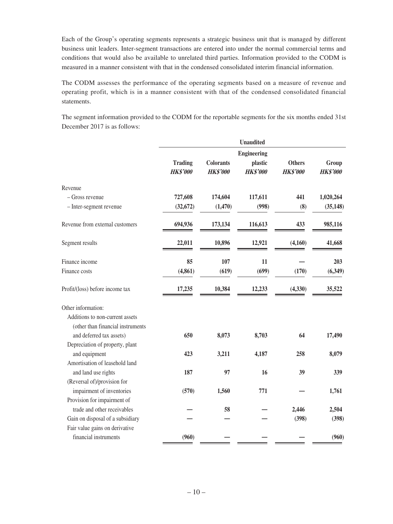Each of the Group's operating segments represents a strategic business unit that is managed by different business unit leaders. Inter-segment transactions are entered into under the normal commercial terms and conditions that would also be available to unrelated third parties. Information provided to the CODM is measured in a manner consistent with that in the condensed consolidated interim financial information.

The CODM assesses the performance of the operating segments based on a measure of revenue and operating profit, which is in a manner consistent with that of the condensed consolidated financial statements.

The segment information provided to the CODM for the reportable segments for the six months ended 31st December 2017 is as follows:

|                                   |                                   |                                     | <b>Unaudited</b>           |                                  |                          |
|-----------------------------------|-----------------------------------|-------------------------------------|----------------------------|----------------------------------|--------------------------|
|                                   | <b>Engineering</b>                |                                     |                            |                                  |                          |
|                                   | <b>Trading</b><br><b>HK\$'000</b> | <b>Colorants</b><br><b>HK\$'000</b> | plastic<br><b>HK\$'000</b> | <b>Others</b><br><b>HK\$'000</b> | Group<br><b>HK\$'000</b> |
| Revenue                           |                                   |                                     |                            |                                  |                          |
| - Gross revenue                   | 727,608                           | 174,604                             | 117,611                    | 441                              | 1,020,264                |
| - Inter-segment revenue           | (32, 672)                         | (1,470)                             | (998)                      | (8)                              | (35, 148)                |
| Revenue from external customers   | 694,936                           | 173,134                             | 116,613                    | 433                              | 985,116                  |
| Segment results                   | 22,011                            | 10,896                              | 12,921                     | (4,160)                          | 41,668                   |
| Finance income                    | 85                                | 107                                 | 11                         |                                  | 203                      |
| Finance costs                     | (4, 861)                          | (619)                               | (699)                      | (170)                            | (6,349)                  |
| Profit/(loss) before income tax   | 17,235                            | 10,384                              | 12,233                     | (4,330)                          | 35,522                   |
| Other information:                |                                   |                                     |                            |                                  |                          |
| Additions to non-current assets   |                                   |                                     |                            |                                  |                          |
| (other than financial instruments |                                   |                                     |                            |                                  |                          |
| and deferred tax assets)          | 650                               | 8,073                               | 8,703                      | 64                               | 17,490                   |
| Depreciation of property, plant   |                                   |                                     |                            |                                  |                          |
| and equipment                     | 423                               | 3,211                               | 4,187                      | 258                              | 8,079                    |
| Amortisation of leasehold land    |                                   |                                     |                            |                                  |                          |
| and land use rights               | 187                               | 97                                  | 16                         | 39                               | 339                      |
| (Reversal of)/provision for       |                                   |                                     |                            |                                  |                          |
| impairment of inventories         | (570)                             | 1,560                               | 771                        |                                  | 1,761                    |
| Provision for impairment of       |                                   |                                     |                            |                                  |                          |
| trade and other receivables       |                                   | 58                                  |                            | 2,446                            | 2,504                    |
| Gain on disposal of a subsidiary  |                                   |                                     |                            | (398)                            | (398)                    |
| Fair value gains on derivative    |                                   |                                     |                            |                                  |                          |
| financial instruments             | (960)                             |                                     |                            |                                  | (960)                    |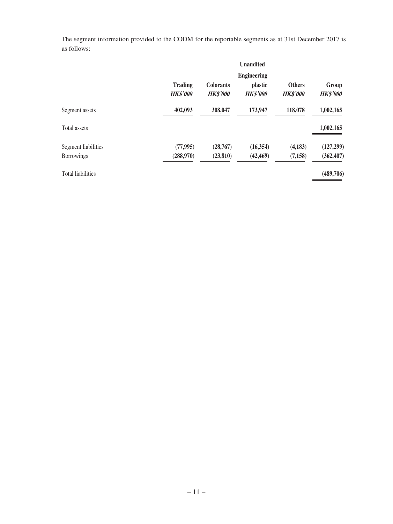The segment information provided to the CODM for the reportable segments as at 31st December 2017 is as follows:

|                          |                                   |                                     | <b>Unaudited</b>                                        |                                  |                          |
|--------------------------|-----------------------------------|-------------------------------------|---------------------------------------------------------|----------------------------------|--------------------------|
|                          | <b>Trading</b><br><b>HK\$'000</b> | <b>Colorants</b><br><b>HK\$'000</b> | <b>Engineering</b><br><i>plastic</i><br><b>HK\$'000</b> | <b>Others</b><br><b>HK\$'000</b> | Group<br><b>HK\$'000</b> |
| Segment assets           | 402,093                           | 308,047                             | 173,947                                                 | 118,078                          | 1,002,165                |
| Total assets             |                                   |                                     |                                                         |                                  | 1,002,165                |
| Segment liabilities      | (77, 995)                         | (28,767)                            | (16,354)                                                | (4,183)                          | (127, 299)               |
| <b>Borrowings</b>        | (288,970)                         | (23, 810)                           | (42, 469)                                               | (7, 158)                         | (362, 407)               |
| <b>Total liabilities</b> |                                   |                                     |                                                         |                                  | (489,706)                |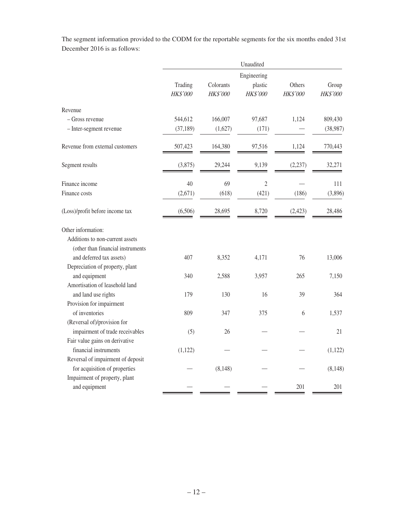The segment information provided to the CODM for the reportable segments for the six months ended 31st December 2016 is as follows:

|                                   |                     |                       | Unaudited           |                    |                   |
|-----------------------------------|---------------------|-----------------------|---------------------|--------------------|-------------------|
|                                   | Engineering         |                       |                     |                    |                   |
|                                   | Trading<br>HK\$'000 | Colorants<br>HK\$'000 | plastic<br>HK\$'000 | Others<br>HK\$'000 | Group<br>HK\$'000 |
| Revenue                           |                     |                       |                     |                    |                   |
| - Gross revenue                   | 544,612             | 166,007               | 97,687              | 1,124              | 809,430           |
| - Inter-segment revenue           | (37, 189)           | (1,627)               | (171)               |                    | (38,987)          |
| Revenue from external customers   | 507,423             | 164,380               | 97,516              | 1,124              | 770,443           |
| Segment results                   | (3,875)             | 29,244                | 9,139               | (2, 237)           | 32,271            |
| Finance income                    | 40                  | 69                    | $\overline{2}$      |                    | 111               |
| Finance costs                     | (2,671)             | (618)                 | (421)               | (186)              | (3,896)           |
| (Loss)/profit before income tax   | (6,506)             | 28,695                | 8,720               | (2, 423)           | 28,486            |
| Other information:                |                     |                       |                     |                    |                   |
| Additions to non-current assets   |                     |                       |                     |                    |                   |
| (other than financial instruments |                     |                       |                     |                    |                   |
| and deferred tax assets)          | 407                 | 8,352                 | 4,171               | 76                 | 13,006            |
| Depreciation of property, plant   |                     |                       |                     |                    |                   |
| and equipment                     | 340                 | 2,588                 | 3,957               | 265                | 7,150             |
| Amortisation of leasehold land    |                     |                       |                     |                    |                   |
| and land use rights               | 179                 | 130                   | 16                  | 39                 | 364               |
| Provision for impairment          |                     |                       |                     |                    |                   |
| of inventories                    | 809                 | 347                   | 375                 | 6                  | 1,537             |
| (Reversal of)/provision for       |                     |                       |                     |                    |                   |
| impairment of trade receivables   | (5)                 | 26                    |                     |                    | 21                |
| Fair value gains on derivative    |                     |                       |                     |                    |                   |
| financial instruments             | (1,122)             |                       |                     |                    | (1,122)           |
| Reversal of impairment of deposit |                     |                       |                     |                    |                   |
| for acquisition of properties     |                     | (8, 148)              |                     |                    | (8, 148)          |
| Impairment of property, plant     |                     |                       |                     |                    |                   |
| and equipment                     |                     |                       |                     | 201                | 201               |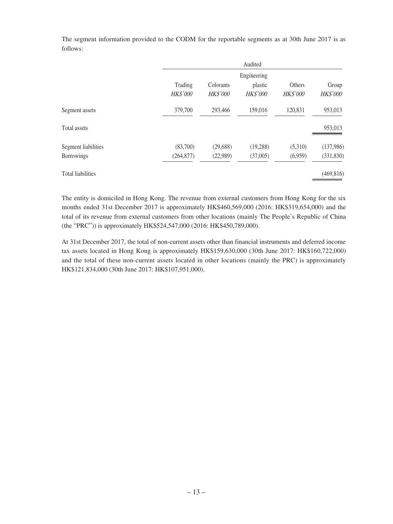Audited Trading Colorants Engineering plastic Others Group HK\$'000 HK\$'000 HK\$'000 HK\$'000 HK\$'000 Segment assets 379,700 293,466 159,016 120,831 953,013 Total assets 353,013 Segment liabilities (83,700) (29,688) (19,288) (5,310) (137,986)

Borrowings (264,877) (22,989) (37,005) (6,959) (331,830)

The segment information provided to the CODM for the reportable segments as at 30th June 2017 is as follows:

Total liabilities (469,816)

The entity is domiciled in Hong Kong. The revenue from external customers from Hong Kong for the six months ended 31st December 2017 is approximately HK\$460,569,000 (2016: HK\$319,654,000) and the total of its revenue from external customers from other locations (mainly The People's Republic of China (the "PRC")) is approximately HK\$524,547,000 (2016: HK\$450,789,000).

At 31st December 2017, the total of non-current assets other than financial instruments and deferred income tax assets located in Hong Kong is approximately HK\$159,630,000 (30th June 2017: HK\$160,722,000) and the total of these non-current assets located in other locations (mainly the PRC) is approximately HK\$121,834,000 (30th June 2017: HK\$107,951,000).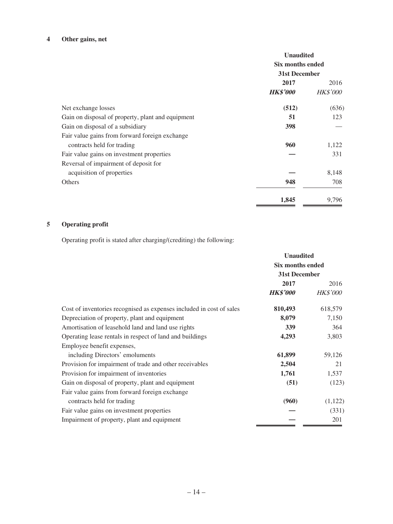# **4 Other gains, net**

|                                                   | <b>Unaudited</b><br><b>Six months ended</b><br>31st December |                 |
|---------------------------------------------------|--------------------------------------------------------------|-----------------|
|                                                   | 2017                                                         | 2016            |
|                                                   | <b>HK\$'000</b>                                              | <b>HK\$'000</b> |
| Net exchange losses                               | (512)                                                        | (636)           |
| Gain on disposal of property, plant and equipment | 51                                                           | 123             |
| Gain on disposal of a subsidiary                  | 398                                                          |                 |
| Fair value gains from forward foreign exchange    |                                                              |                 |
| contracts held for trading                        | 960                                                          | 1,122           |
| Fair value gains on investment properties         |                                                              | 331             |
| Reversal of impairment of deposit for             |                                                              |                 |
| acquisition of properties                         |                                                              | 8,148           |
| Others                                            | 948                                                          | 708             |
|                                                   | 1,845                                                        | 9.796           |

# **5 Operating profit**

Operating profit is stated after charging/(crediting) the following:

|                                                                      | <b>Unaudited</b><br>Six months ended<br>31st December |                 |
|----------------------------------------------------------------------|-------------------------------------------------------|-----------------|
|                                                                      |                                                       |                 |
|                                                                      |                                                       |                 |
|                                                                      | 2017                                                  | 2016            |
|                                                                      | <b>HK\$'000</b>                                       | <i>HK\$'000</i> |
| Cost of inventories recognised as expenses included in cost of sales | 810,493                                               | 618,579         |
| Depreciation of property, plant and equipment                        | 8,079                                                 | 7,150           |
| Amortisation of leasehold land and land use rights                   | 339                                                   | 364             |
| Operating lease rentals in respect of land and buildings             | 4,293                                                 | 3,803           |
| Employee benefit expenses,                                           |                                                       |                 |
| including Directors' emoluments                                      | 61,899                                                | 59,126          |
| Provision for impairment of trade and other receivables              | 2,504                                                 | 21              |
| Provision for impairment of inventories                              | 1,761                                                 | 1,537           |
| Gain on disposal of property, plant and equipment                    | (51)                                                  | (123)           |
| Fair value gains from forward foreign exchange                       |                                                       |                 |
| contracts held for trading                                           | (960)                                                 | (1,122)         |
| Fair value gains on investment properties                            |                                                       | (331)           |
| Impairment of property, plant and equipment                          |                                                       | 201             |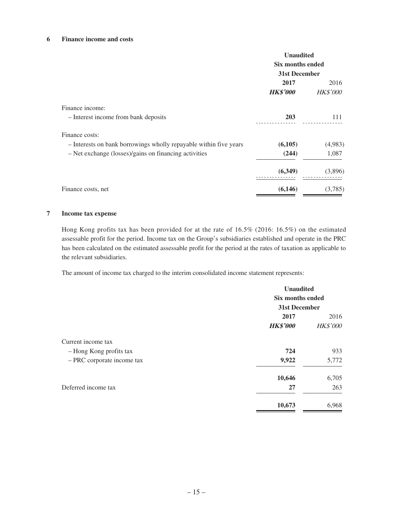### **6 Finance income and costs**

|                                                                   | <b>Unaudited</b> |                  |  |
|-------------------------------------------------------------------|------------------|------------------|--|
|                                                                   |                  | Six months ended |  |
|                                                                   | 31st December    |                  |  |
|                                                                   | 2017             | 2016             |  |
|                                                                   | <b>HK\$'000</b>  | <b>HK\$'000</b>  |  |
| Finance income:                                                   |                  |                  |  |
| - Interest income from bank deposits                              | 203              | 111              |  |
| Finance costs:                                                    |                  |                  |  |
| - Interests on bank borrowings wholly repayable within five years | (6,105)          | (4,983)          |  |
| - Net exchange (losses)/gains on financing activities             | (244)            | 1,087            |  |
|                                                                   | (6,349)          | (3,896)          |  |
| Finance costs, net                                                | (6,146)          | (3,785)          |  |

#### **7 Income tax expense**

Hong Kong profits tax has been provided for at the rate of 16.5% (2016: 16.5%) on the estimated assessable profit for the period. Income tax on the Group's subsidiaries established and operate in the PRC has been calculated on the estimated assessable profit for the period at the rates of taxation as applicable to the relevant subsidiaries.

The amount of income tax charged to the interim consolidated income statement represents:

|                            | <b>Unaudited</b><br>Six months ended<br>31st December |                 |
|----------------------------|-------------------------------------------------------|-----------------|
|                            |                                                       |                 |
|                            |                                                       |                 |
|                            | 2017                                                  | 2016            |
|                            | <b>HK\$'000</b>                                       | <b>HK\$'000</b> |
| Current income tax         |                                                       |                 |
| - Hong Kong profits tax    | 724                                                   | 933             |
| - PRC corporate income tax | 9,922                                                 | 5,772           |
|                            | 10,646                                                | 6,705           |
| Deferred income tax        | 27                                                    | 263             |
|                            | 10,673                                                | 6,968           |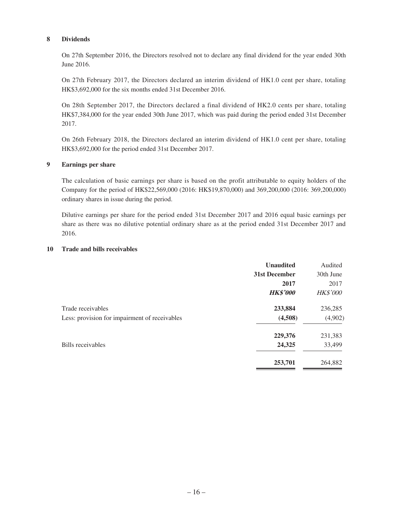#### **8 Dividends**

On 27th September 2016, the Directors resolved not to declare any final dividend for the year ended 30th June 2016.

On 27th February 2017, the Directors declared an interim dividend of HK1.0 cent per share, totaling HK\$3,692,000 for the six months ended 31st December 2016.

On 28th September 2017, the Directors declared a final dividend of HK2.0 cents per share, totaling HK\$7,384,000 for the year ended 30th June 2017, which was paid during the period ended 31st December 2017.

On 26th February 2018, the Directors declared an interim dividend of HK1.0 cent per share, totaling HK\$3,692,000 for the period ended 31st December 2017.

#### **9 Earnings per share**

The calculation of basic earnings per share is based on the profit attributable to equity holders of the Company for the period of HK\$22,569,000 (2016: HK\$19,870,000) and 369,200,000 (2016: 369,200,000) ordinary shares in issue during the period.

Dilutive earnings per share for the period ended 31st December 2017 and 2016 equal basic earnings per share as there was no dilutive potential ordinary share as at the period ended 31st December 2017 and 2016.

### **10 Trade and bills receivables**

|                                               | <b>Unaudited</b>     | Audited         |
|-----------------------------------------------|----------------------|-----------------|
|                                               | <b>31st December</b> | 30th June       |
|                                               | 2017                 | 2017            |
|                                               | <b>HK\$'000</b>      | <b>HK\$'000</b> |
| Trade receivables                             | 233,884              | 236,285         |
| Less: provision for impairment of receivables | (4,508)              | (4,902)         |
|                                               | 229,376              | 231,383         |
| Bills receivables                             | 24,325               | 33,499          |
|                                               | 253,701              | 264,882         |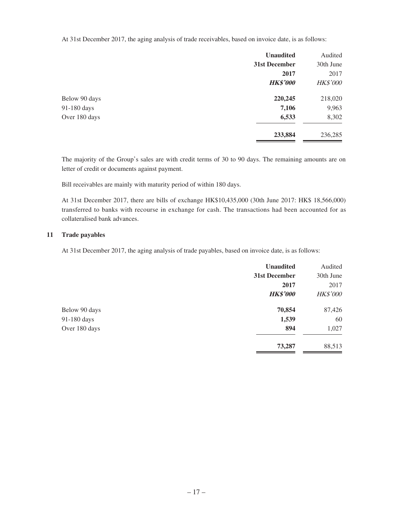At 31st December 2017, the aging analysis of trade receivables, based on invoice date, is as follows:

|               | <b>Unaudited</b> | Audited         |
|---------------|------------------|-----------------|
|               | 31st December    | 30th June       |
|               | 2017             | 2017            |
|               | <b>HK\$'000</b>  | <b>HK\$'000</b> |
| Below 90 days | 220,245          | 218,020         |
| 91-180 days   | 7,106            | 9,963           |
| Over 180 days | 6,533            | 8,302           |
|               | 233,884          | 236,285         |

The majority of the Group's sales are with credit terms of 30 to 90 days. The remaining amounts are on letter of credit or documents against payment.

Bill receivables are mainly with maturity period of within 180 days.

At 31st December 2017, there are bills of exchange HK\$10,435,000 (30th June 2017: HK\$ 18,566,000) transferred to banks with recourse in exchange for cash. The transactions had been accounted for as collateralised bank advances.

### **11 Trade payables**

At 31st December 2017, the aging analysis of trade payables, based on invoice date, is as follows:

|               | <b>Unaudited</b> | Audited         |
|---------------|------------------|-----------------|
|               | 31st December    | 30th June       |
|               | 2017             | 2017            |
|               | <b>HK\$'000</b>  | <b>HK\$'000</b> |
| Below 90 days | 70,854           | 87,426          |
| 91-180 days   | 1,539            | 60              |
| Over 180 days | 894              | 1,027           |
|               | 73,287           | 88,513          |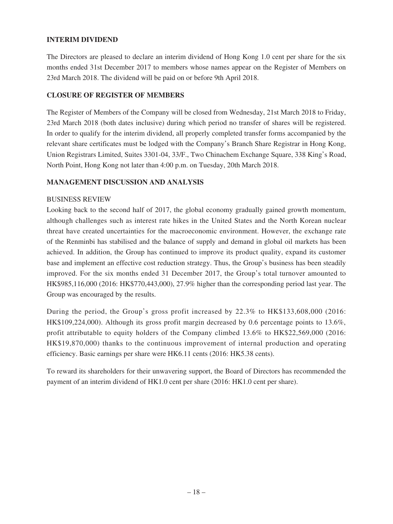### **INTERIM DIVIDEND**

The Directors are pleased to declare an interim dividend of Hong Kong 1.0 cent per share for the six months ended 31st December 2017 to members whose names appear on the Register of Members on 23rd March 2018. The dividend will be paid on or before 9th April 2018.

### **CLOSURE OF REGISTER OF MEMBERS**

The Register of Members of the Company will be closed from Wednesday, 21st March 2018 to Friday, 23rd March 2018 (both dates inclusive) during which period no transfer of shares will be registered. In order to qualify for the interim dividend, all properly completed transfer forms accompanied by the relevant share certificates must be lodged with the Company's Branch Share Registrar in Hong Kong, Union Registrars Limited, Suites 3301-04, 33/F., Two Chinachem Exchange Square, 338 King's Road, North Point, Hong Kong not later than 4:00 p.m. on Tuesday, 20th March 2018.

### **MANAGEMENT DISCUSSION AND ANALYSIS**

### BUSINESS REVIEW

Looking back to the second half of 2017, the global economy gradually gained growth momentum, although challenges such as interest rate hikes in the United States and the North Korean nuclear threat have created uncertainties for the macroeconomic environment. However, the exchange rate of the Renminbi has stabilised and the balance of supply and demand in global oil markets has been achieved. In addition, the Group has continued to improve its product quality, expand its customer base and implement an effective cost reduction strategy. Thus, the Group's business has been steadily improved. For the six months ended 31 December 2017, the Group's total turnover amounted to HK\$985,116,000 (2016: HK\$770,443,000), 27.9% higher than the corresponding period last year. The Group was encouraged by the results.

During the period, the Group's gross profit increased by 22.3% to HK\$133,608,000 (2016: HK\$109,224,000). Although its gross profit margin decreased by 0.6 percentage points to 13.6%, profit attributable to equity holders of the Company climbed 13.6% to HK\$22,569,000 (2016: HK\$19,870,000) thanks to the continuous improvement of internal production and operating efficiency. Basic earnings per share were HK6.11 cents (2016: HK5.38 cents).

To reward its shareholders for their unwavering support, the Board of Directors has recommended the payment of an interim dividend of HK1.0 cent per share (2016: HK1.0 cent per share).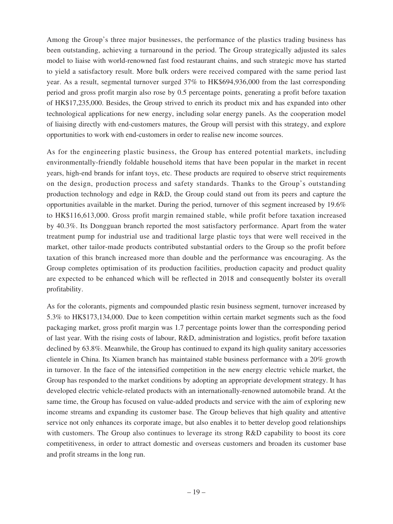Among the Group's three major businesses, the performance of the plastics trading business has been outstanding, achieving a turnaround in the period. The Group strategically adjusted its sales model to liaise with world-renowned fast food restaurant chains, and such strategic move has started to yield a satisfactory result. More bulk orders were received compared with the same period last year. As a result, segmental turnover surged 37% to HK\$694,936,000 from the last corresponding period and gross profit margin also rose by 0.5 percentage points, generating a profit before taxation of HK\$17,235,000. Besides, the Group strived to enrich its product mix and has expanded into other technological applications for new energy, including solar energy panels. As the cooperation model of liaising directly with end-customers matures, the Group will persist with this strategy, and explore opportunities to work with end-customers in order to realise new income sources.

As for the engineering plastic business, the Group has entered potential markets, including environmentally-friendly foldable household items that have been popular in the market in recent years, high-end brands for infant toys, etc. These products are required to observe strict requirements on the design, production process and safety standards. Thanks to the Group's outstanding production technology and edge in R&D, the Group could stand out from its peers and capture the opportunities available in the market. During the period, turnover of this segment increased by 19.6% to HK\$116,613,000. Gross profit margin remained stable, while profit before taxation increased by 40.3%. Its Dongguan branch reported the most satisfactory performance. Apart from the water treatment pump for industrial use and traditional large plastic toys that were well received in the market, other tailor-made products contributed substantial orders to the Group so the profit before taxation of this branch increased more than double and the performance was encouraging. As the Group completes optimisation of its production facilities, production capacity and product quality are expected to be enhanced which will be reflected in 2018 and consequently bolster its overall profitability.

As for the colorants, pigments and compounded plastic resin business segment, turnover increased by 5.3% to HK\$173,134,000. Due to keen competition within certain market segments such as the food packaging market, gross profit margin was 1.7 percentage points lower than the corresponding period of last year. With the rising costs of labour, R&D, administration and logistics, profit before taxation declined by 63.8%. Meanwhile, the Group has continued to expand its high quality sanitary accessories clientele in China. Its Xiamen branch has maintained stable business performance with a 20% growth in turnover. In the face of the intensified competition in the new energy electric vehicle market, the Group has responded to the market conditions by adopting an appropriate development strategy. It has developed electric vehicle-related products with an internationally-renowned automobile brand. At the same time, the Group has focused on value-added products and service with the aim of exploring new income streams and expanding its customer base. The Group believes that high quality and attentive service not only enhances its corporate image, but also enables it to better develop good relationships with customers. The Group also continues to leverage its strong R&D capability to boost its core competitiveness, in order to attract domestic and overseas customers and broaden its customer base and profit streams in the long run.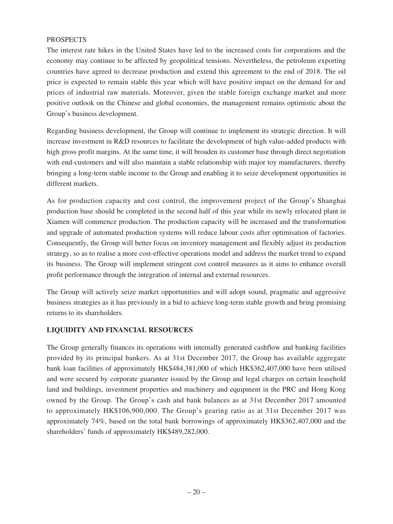### **PROSPECTS**

The interest rate hikes in the United States have led to the increased costs for corporations and the economy may continue to be affected by geopolitical tensions. Nevertheless, the petroleum exporting countries have agreed to decrease production and extend this agreement to the end of 2018. The oil price is expected to remain stable this year which will have positive impact on the demand for and prices of industrial raw materials. Moreover, given the stable foreign exchange market and more positive outlook on the Chinese and global economies, the management remains optimistic about the Group's business development.

Regarding business development, the Group will continue to implement its strategic direction. It will increase investment in R&D resources to facilitate the development of high value-added products with high gross profit margins. At the same time, it will broaden its customer base through direct negotiation with end-customers and will also maintain a stable relationship with major toy manufacturers, thereby bringing a long-term stable income to the Group and enabling it to seize development opportunities in different markets.

As for production capacity and cost control, the improvement project of the Group's Shanghai production base should be completed in the second half of this year while its newly relocated plant in Xiamen will commence production. The production capacity will be increased and the transformation and upgrade of automated production systems will reduce labour costs after optimisation of factories. Consequently, the Group will better focus on inventory management and flexibly adjust its production strategy, so as to realise a more cost-effective operations model and address the market trend to expand its business. The Group will implement stringent cost control measures as it aims to enhance overall profit performance through the integration of internal and external resources.

The Group will actively seize market opportunities and will adopt sound, pragmatic and aggressive business strategies as it has previously in a bid to achieve long-term stable growth and bring promising returns to its shareholders.

### **LIQUIDITY AND FINANCIAL RESOURCES**

The Group generally finances its operations with internally generated cashflow and banking facilities provided by its principal bankers. As at 31st December 2017, the Group has available aggregate bank loan facilities of approximately HK\$484,381,000 of which HK\$362,407,000 have been utilised and were secured by corporate guarantee issued by the Group and legal charges on certain leasehold land and buildings, investment properties and machinery and equipment in the PRC and Hong Kong owned by the Group. The Group's cash and bank balances as at 31st December 2017 amounted to approximately HK\$106,900,000. The Group's gearing ratio as at 31st December 2017 was approximately 74%, based on the total bank borrowings of approximately HK\$362,407,000 and the shareholders' funds of approximately HK\$489,282,000.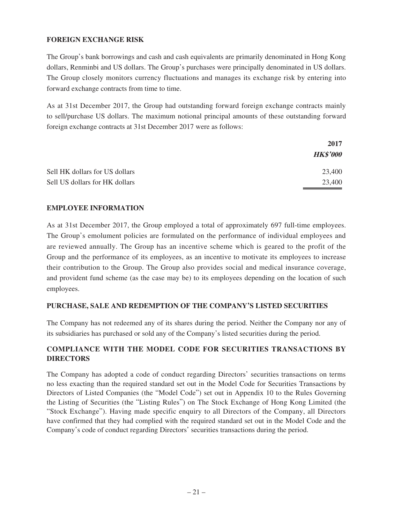### **FOREIGN EXCHANGE RISK**

The Group's bank borrowings and cash and cash equivalents are primarily denominated in Hong Kong dollars, Renminbi and US dollars. The Group's purchases were principally denominated in US dollars. The Group closely monitors currency fluctuations and manages its exchange risk by entering into forward exchange contracts from time to time.

As at 31st December 2017, the Group had outstanding forward foreign exchange contracts mainly to sell/purchase US dollars. The maximum notional principal amounts of these outstanding forward foreign exchange contracts at 31st December 2017 were as follows:

|                                | 2017            |
|--------------------------------|-----------------|
|                                | <b>HK\$'000</b> |
| Sell HK dollars for US dollars | 23,400          |
| Sell US dollars for HK dollars | 23,400          |

### **EMPLOYEE INFORMATION**

As at 31st December 2017, the Group employed a total of approximately 697 full-time employees. The Group's emolument policies are formulated on the performance of individual employees and are reviewed annually. The Group has an incentive scheme which is geared to the profit of the Group and the performance of its employees, as an incentive to motivate its employees to increase their contribution to the Group. The Group also provides social and medical insurance coverage, and provident fund scheme (as the case may be) to its employees depending on the location of such employees.

### **PURCHASE, SALE AND REDEMPTION OF THE COMPANY'S LISTED SECURITIES**

The Company has not redeemed any of its shares during the period. Neither the Company nor any of its subsidiaries has purchased or sold any of the Company's listed securities during the period.

## **COMPLIANCE WITH THE MODEL CODE FOR SECURITIES TRANSACTIONS BY DIRECTORS**

The Company has adopted a code of conduct regarding Directors' securities transactions on terms no less exacting than the required standard set out in the Model Code for Securities Transactions by Directors of Listed Companies (the "Model Code") set out in Appendix 10 to the Rules Governing the Listing of Securities (the "Listing Rules") on The Stock Exchange of Hong Kong Limited (the "Stock Exchange"). Having made specific enquiry to all Directors of the Company, all Directors have confirmed that they had complied with the required standard set out in the Model Code and the Company's code of conduct regarding Directors' securities transactions during the period.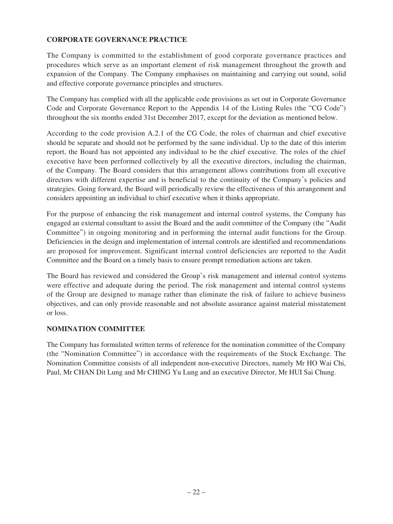## **CORPORATE GOVERNANCE PRACTICE**

The Company is committed to the establishment of good corporate governance practices and procedures which serve as an important element of risk management throughout the growth and expansion of the Company. The Company emphasises on maintaining and carrying out sound, solid and effective corporate governance principles and structures.

The Company has complied with all the applicable code provisions as set out in Corporate Governance Code and Corporate Governance Report to the Appendix 14 of the Listing Rules (the "CG Code") throughout the six months ended 31st December 2017, except for the deviation as mentioned below.

According to the code provision A.2.1 of the CG Code, the roles of chairman and chief executive should be separate and should not be performed by the same individual. Up to the date of this interim report, the Board has not appointed any individual to be the chief executive. The roles of the chief executive have been performed collectively by all the executive directors, including the chairman, of the Company. The Board considers that this arrangement allows contributions from all executive directors with different expertise and is beneficial to the continuity of the Company's policies and strategies. Going forward, the Board will periodically review the effectiveness of this arrangement and considers appointing an individual to chief executive when it thinks appropriate.

For the purpose of enhancing the risk management and internal control systems, the Company has engaged an external consultant to assist the Board and the audit committee of the Company (the "Audit Committee") in ongoing monitoring and in performing the internal audit functions for the Group. Deficiencies in the design and implementation of internal controls are identified and recommendations are proposed for improvement. Significant internal control deficiencies are reported to the Audit Committee and the Board on a timely basis to ensure prompt remediation actions are taken.

The Board has reviewed and considered the Group's risk management and internal control systems were effective and adequate during the period. The risk management and internal control systems of the Group are designed to manage rather than eliminate the risk of failure to achieve business objectives, and can only provide reasonable and not absolute assurance against material misstatement or loss.

### **NOMINATION COMMITTEE**

The Company has formulated written terms of reference for the nomination committee of the Company (the "Nomination Committee") in accordance with the requirements of the Stock Exchange. The Nomination Committee consists of all independent non-executive Directors, namely Mr HO Wai Chi, Paul, Mr CHAN Dit Lung and Mr CHING Yu Lung and an executive Director, Mr HUI Sai Chung.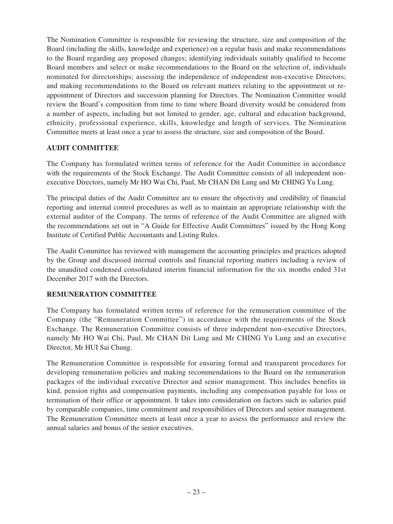The Nomination Committee is responsible for reviewing the structure, size and composition of the Board (including the skills, knowledge and experience) on a regular basis and make recommendations to the Board regarding any proposed changes; identifying individuals suitably qualified to become Board members and select or make recommendations to the Board on the selection of, individuals nominated for directorships; assessing the independence of independent non-executive Directors; and making recommendations to the Board on relevant matters relating to the appointment or reappointment of Directors and succession planning for Directors. The Nomination Committee would review the Board's composition from time to time where Board diversity would be considered from a number of aspects, including but not limited to gender, age, cultural and education background, ethnicity, professional experience, skills, knowledge and length of services. The Nomination Committee meets at least once a year to assess the structure, size and composition of the Board.

## **AUDIT COMMITTEE**

The Company has formulated written terms of reference for the Audit Committee in accordance with the requirements of the Stock Exchange. The Audit Committee consists of all independent nonexecutive Directors, namely Mr HO Wai Chi, Paul, Mr CHAN Dit Lung and Mr CHING Yu Lung.

The principal duties of the Audit Committee are to ensure the objectivity and credibility of financial reporting and internal control procedures as well as to maintain an appropriate relationship with the external auditor of the Company. The terms of reference of the Audit Committee are aligned with the recommendations set out in "A Guide for Effective Audit Committees" issued by the Hong Kong Institute of Certified Public Accountants and Listing Rules.

The Audit Committee has reviewed with management the accounting principles and practices adopted by the Group and discussed internal controls and financial reporting matters including a review of the unaudited condensed consolidated interim financial information for the six months ended 31st December 2017 with the Directors.

## **REMUNERATION COMMITTEE**

The Company has formulated written terms of reference for the remuneration committee of the Company (the "Remuneration Committee") in accordance with the requirements of the Stock Exchange. The Remuneration Committee consists of three independent non-executive Directors, namely Mr HO Wai Chi, Paul, Mr CHAN Dit Lung and Mr CHING Yu Lung and an executive Director, Mr HUI Sai Chung.

The Remuneration Committee is responsible for ensuring formal and transparent procedures for developing remuneration policies and making recommendations to the Board on the remuneration packages of the individual executive Director and senior management. This includes benefits in kind, pension rights and compensation payments, including any compensation payable for loss or termination of their office or appointment. It takes into consideration on factors such as salaries paid by comparable companies, time commitment and responsibilities of Directors and senior management. The Remuneration Committee meets at least once a year to assess the performance and review the annual salaries and bonus of the senior executives.